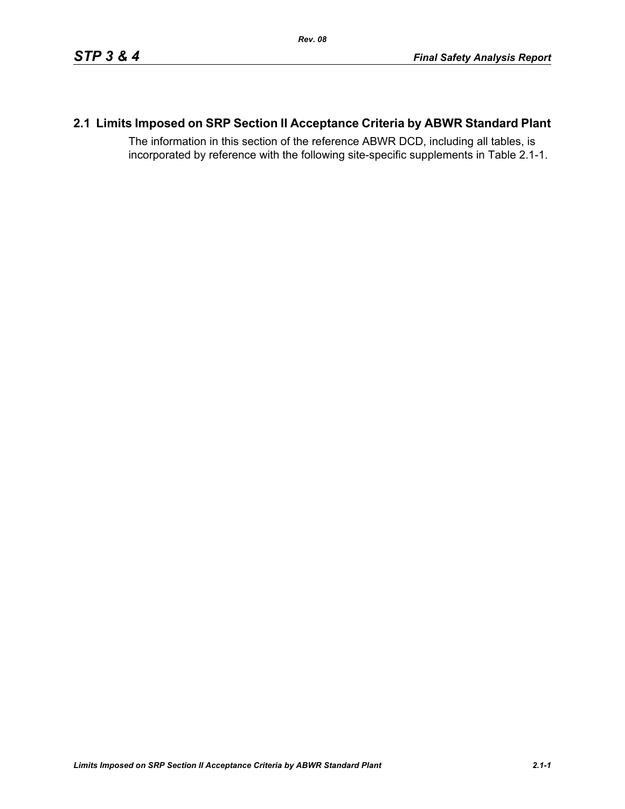# **2.1 Limits Imposed on SRP Section II Acceptance Criteria by ABWR Standard Plant**

The information in this section of the reference ABWR DCD, including all tables, is incorporated by reference with the following site-specific supplements in Table [2.1-1.](#page-1-0)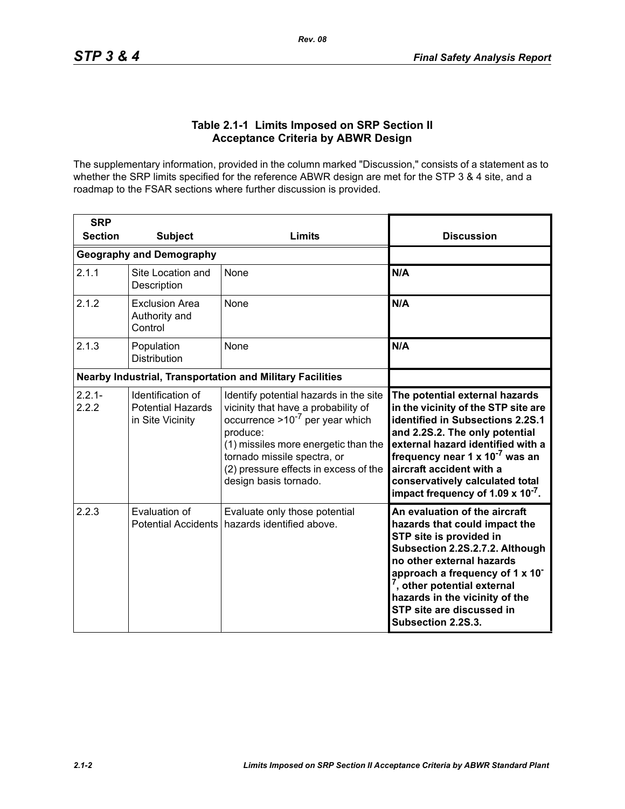### **Table 2.1-1 Limits Imposed on SRP Section II Acceptance Criteria by ABWR Design**

<span id="page-1-0"></span>The supplementary information, provided in the column marked "Discussion," consists of a statement as to whether the SRP limits specified for the reference ABWR design are met for the STP 3 & 4 site, and a roadmap to the FSAR sections where further discussion is provided.

| <b>SRP</b><br><b>Section</b> | <b>Subject</b>                                                    | Limits                                                                                                                                                                                                                                                                     | <b>Discussion</b>                                                                                                                                                                                                                                                                                                                                   |
|------------------------------|-------------------------------------------------------------------|----------------------------------------------------------------------------------------------------------------------------------------------------------------------------------------------------------------------------------------------------------------------------|-----------------------------------------------------------------------------------------------------------------------------------------------------------------------------------------------------------------------------------------------------------------------------------------------------------------------------------------------------|
|                              | <b>Geography and Demography</b>                                   |                                                                                                                                                                                                                                                                            |                                                                                                                                                                                                                                                                                                                                                     |
| 2.1.1                        | Site Location and<br>Description                                  | None                                                                                                                                                                                                                                                                       | N/A                                                                                                                                                                                                                                                                                                                                                 |
| 2.1.2                        | <b>Exclusion Area</b><br>Authority and<br>Control                 | <b>None</b>                                                                                                                                                                                                                                                                | N/A                                                                                                                                                                                                                                                                                                                                                 |
| 2.1.3                        | Population<br><b>Distribution</b>                                 | None                                                                                                                                                                                                                                                                       | N/A                                                                                                                                                                                                                                                                                                                                                 |
|                              |                                                                   | <b>Nearby Industrial, Transportation and Military Facilities</b>                                                                                                                                                                                                           |                                                                                                                                                                                                                                                                                                                                                     |
| $2.2.1 -$<br>2.2.2           | Identification of<br><b>Potential Hazards</b><br>in Site Vicinity | Identify potential hazards in the site<br>vicinity that have a probability of<br>occurrence $>10^{-7}$ per year which<br>produce:<br>(1) missiles more energetic than the<br>tornado missile spectra, or<br>(2) pressure effects in excess of the<br>design basis tornado. | The potential external hazards<br>in the vicinity of the STP site are<br>identified in Subsections 2.2S.1<br>and 2.2S.2. The only potential<br>external hazard identified with a<br>frequency near $1 \times 10^{-7}$ was an<br>aircraft accident with a<br>conservatively calculated total<br>impact frequency of 1.09 $\times$ 10 <sup>-7</sup> . |
| 2.2.3                        | Evaluation of<br><b>Potential Accidents</b>                       | Evaluate only those potential<br>hazards identified above.                                                                                                                                                                                                                 | An evaluation of the aircraft<br>hazards that could impact the<br>STP site is provided in<br>Subsection 2.2S.2.7.2. Although<br>no other external hazards<br>approach a frequency of 1 x 10 <sup>-</sup><br>, other potential external<br>hazards in the vicinity of the<br>STP site are discussed in<br>Subsection 2.2S.3.                         |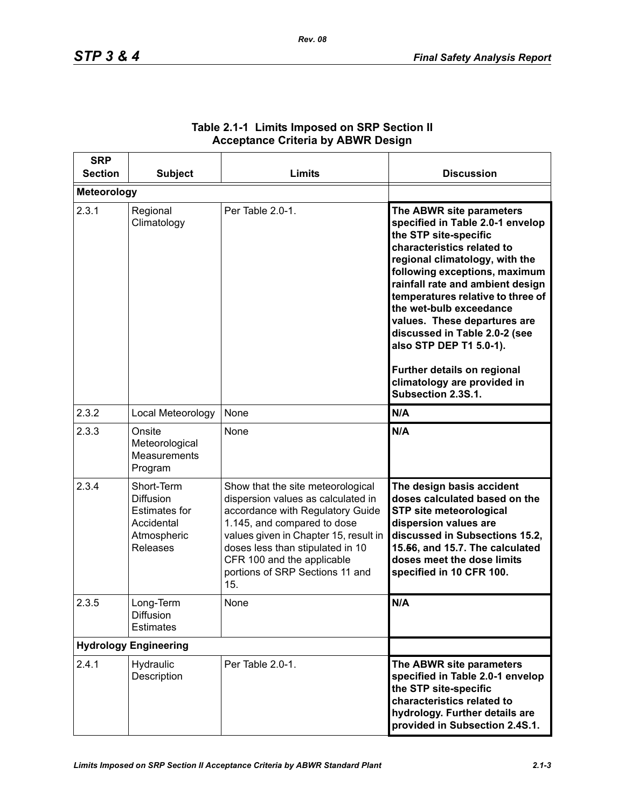| <b>SRP</b><br><b>Section</b> | <b>Subject</b>                                                                                         | Limits                                                                                                                                                                                                                                                                                          | <b>Discussion</b>                                                                                                                                                                                                                                                                                                                                                                                                                                                          |
|------------------------------|--------------------------------------------------------------------------------------------------------|-------------------------------------------------------------------------------------------------------------------------------------------------------------------------------------------------------------------------------------------------------------------------------------------------|----------------------------------------------------------------------------------------------------------------------------------------------------------------------------------------------------------------------------------------------------------------------------------------------------------------------------------------------------------------------------------------------------------------------------------------------------------------------------|
| <b>Meteorology</b>           |                                                                                                        |                                                                                                                                                                                                                                                                                                 |                                                                                                                                                                                                                                                                                                                                                                                                                                                                            |
| 2.3.1                        | Regional<br>Climatology                                                                                | Per Table 2.0-1.                                                                                                                                                                                                                                                                                | The ABWR site parameters<br>specified in Table 2.0-1 envelop<br>the STP site-specific<br>characteristics related to<br>regional climatology, with the<br>following exceptions, maximum<br>rainfall rate and ambient design<br>temperatures relative to three of<br>the wet-bulb exceedance<br>values. These departures are<br>discussed in Table 2.0-2 (see<br>also STP DEP T1 5.0-1).<br>Further details on regional<br>climatology are provided in<br>Subsection 2.3S.1. |
| 2.3.2                        | Local Meteorology                                                                                      | None                                                                                                                                                                                                                                                                                            | N/A                                                                                                                                                                                                                                                                                                                                                                                                                                                                        |
| 2.3.3                        | Onsite<br>Meteorological<br>Measurements<br>Program                                                    | None                                                                                                                                                                                                                                                                                            | N/A                                                                                                                                                                                                                                                                                                                                                                                                                                                                        |
| 2.3.4                        | Short-Term<br><b>Diffusion</b><br><b>Estimates for</b><br>Accidental<br>Atmospheric<br><b>Releases</b> | Show that the site meteorological<br>dispersion values as calculated in<br>accordance with Regulatory Guide<br>1.145, and compared to dose<br>values given in Chapter 15, result in<br>doses less than stipulated in 10<br>CFR 100 and the applicable<br>portions of SRP Sections 11 and<br>15. | The design basis accident<br>doses calculated based on the<br><b>STP site meteorological</b><br>dispersion values are<br>discussed in Subsections 15.2,<br>15.56, and 15.7. The calculated<br>doses meet the dose limits<br>specified in 10 CFR 100.                                                                                                                                                                                                                       |
| 2.3.5                        | Long-Term<br>Diffusion<br><b>Estimates</b>                                                             | None                                                                                                                                                                                                                                                                                            | N/A                                                                                                                                                                                                                                                                                                                                                                                                                                                                        |
| <b>Hydrology Engineering</b> |                                                                                                        |                                                                                                                                                                                                                                                                                                 |                                                                                                                                                                                                                                                                                                                                                                                                                                                                            |
| 2.4.1                        | Hydraulic<br>Description                                                                               | Per Table 2.0-1.                                                                                                                                                                                                                                                                                | The ABWR site parameters<br>specified in Table 2.0-1 envelop<br>the STP site-specific<br>characteristics related to<br>hydrology. Further details are<br>provided in Subsection 2.4S.1.                                                                                                                                                                                                                                                                                    |

## **Table 2.1-1 Limits Imposed on SRP Section II Acceptance Criteria by ABWR Design**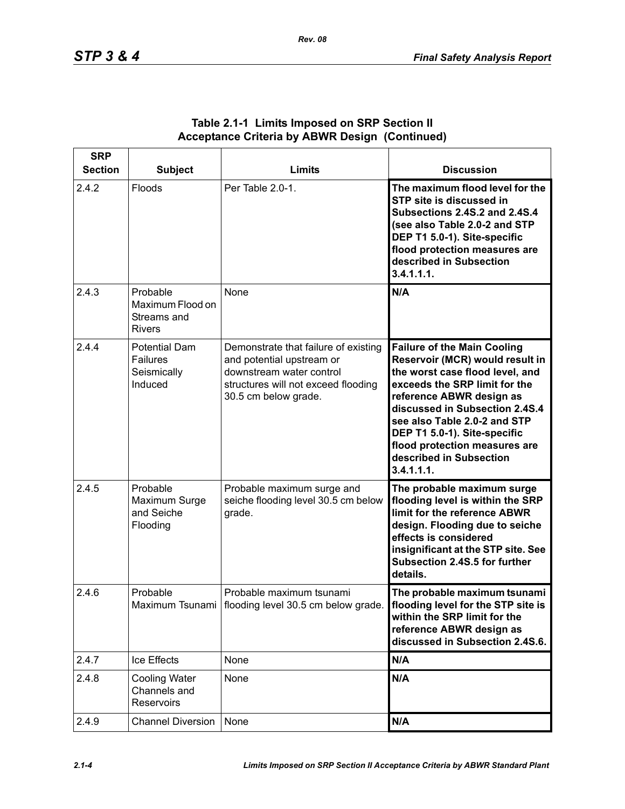| <b>SRP</b><br><b>Section</b> | <b>Subject</b>                                                    | <b>Limits</b>                                                                                                                                                | <b>Discussion</b>                                                                                                                                                                                                                                                                                                                                 |
|------------------------------|-------------------------------------------------------------------|--------------------------------------------------------------------------------------------------------------------------------------------------------------|---------------------------------------------------------------------------------------------------------------------------------------------------------------------------------------------------------------------------------------------------------------------------------------------------------------------------------------------------|
| 2.4.2                        | Floods                                                            | Per Table 2.0-1.                                                                                                                                             | The maximum flood level for the<br>STP site is discussed in<br>Subsections 2.4S.2 and 2.4S.4<br>(see also Table 2.0-2 and STP<br>DEP T1 5.0-1). Site-specific<br>flood protection measures are<br>described in Subsection<br>3.4.1.1.1.                                                                                                           |
| 2.4.3                        | Probable<br>Maximum Flood on<br>Streams and<br><b>Rivers</b>      | None                                                                                                                                                         | N/A                                                                                                                                                                                                                                                                                                                                               |
| 2.4.4                        | <b>Potential Dam</b><br><b>Failures</b><br>Seismically<br>Induced | Demonstrate that failure of existing<br>and potential upstream or<br>downstream water control<br>structures will not exceed flooding<br>30.5 cm below grade. | <b>Failure of the Main Cooling</b><br>Reservoir (MCR) would result in<br>the worst case flood level, and<br>exceeds the SRP limit for the<br>reference ABWR design as<br>discussed in Subsection 2.4S.4<br>see also Table 2.0-2 and STP<br>DEP T1 5.0-1). Site-specific<br>flood protection measures are<br>described in Subsection<br>3.4.1.1.1. |
| 2.4.5                        | Probable<br>Maximum Surge<br>and Seiche<br>Flooding               | Probable maximum surge and<br>seiche flooding level 30.5 cm below<br>grade.                                                                                  | The probable maximum surge<br>flooding level is within the SRP<br>limit for the reference ABWR<br>design. Flooding due to seiche<br>effects is considered<br>insignificant at the STP site. See<br>Subsection 2.4S.5 for further<br>details.                                                                                                      |
| 2.4.6                        | Probable                                                          | Probable maximum tsunami<br>Maximum Tsunami   flooding level 30.5 cm below grade.   flooding level for the STP site is                                       | The probable maximum tsunami<br>within the SRP limit for the<br>reference ABWR design as<br>discussed in Subsection 2.4S.6.                                                                                                                                                                                                                       |
| 2.4.7                        | Ice Effects                                                       | None                                                                                                                                                         | N/A                                                                                                                                                                                                                                                                                                                                               |
| 2.4.8                        | <b>Cooling Water</b><br>Channels and<br>Reservoirs                | None                                                                                                                                                         | N/A                                                                                                                                                                                                                                                                                                                                               |
| 2.4.9                        | <b>Channel Diversion</b>                                          | None                                                                                                                                                         | N/A                                                                                                                                                                                                                                                                                                                                               |

### **Table 2.1-1 Limits Imposed on SRP Section II Acceptance Criteria by ABWR Design (Continued)**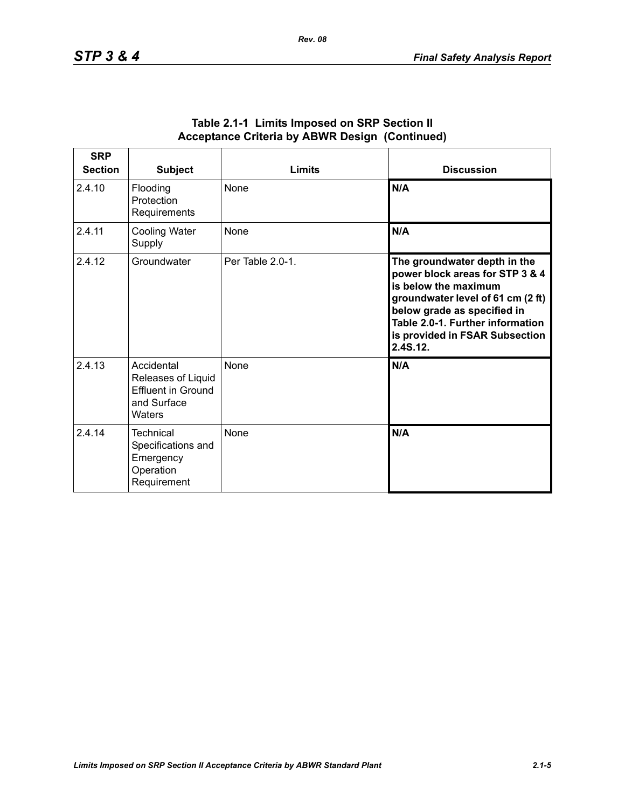| <b>SRP</b><br><b>Section</b> | <b>Subject</b>                                                                  | Limits           | <b>Discussion</b>                                                                                                                                                                                                                             |
|------------------------------|---------------------------------------------------------------------------------|------------------|-----------------------------------------------------------------------------------------------------------------------------------------------------------------------------------------------------------------------------------------------|
| 2.4.10                       | Flooding<br>Protection<br>Requirements                                          | <b>None</b>      | N/A                                                                                                                                                                                                                                           |
| 2.4.11                       | <b>Cooling Water</b><br>Supply                                                  | None             | N/A                                                                                                                                                                                                                                           |
| 2.4.12                       | Groundwater                                                                     | Per Table 2.0-1. | The groundwater depth in the<br>power block areas for STP 3 & 4<br>is below the maximum<br>groundwater level of 61 cm (2 ft)<br>below grade as specified in<br>Table 2.0-1. Further information<br>is provided in FSAR Subsection<br>2.4S.12. |
| 2.4.13                       | Accidental<br>Releases of Liquid<br>Effluent in Ground<br>and Surface<br>Waters | None             | N/A                                                                                                                                                                                                                                           |
| 2.4.14                       | Technical<br>Specifications and<br>Emergency<br>Operation<br>Requirement        | <b>None</b>      | N/A                                                                                                                                                                                                                                           |

#### **Table 2.1-1 Limits Imposed on SRP Section II Acceptance Criteria by ABWR Design (Continued)**